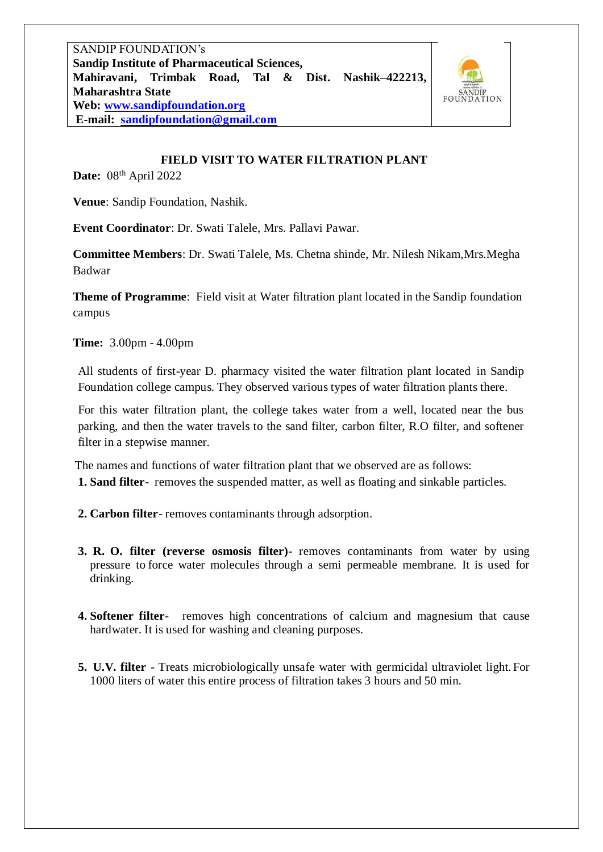SANDIP FOUNDATION's **Sandip Institute of Pharmaceutical Sciences, Mahiravani, Trimbak Road, Tal & Dist. Nashik–422213, Maharashtra State Web: [www.sandipfoundation.org](http://www.sandipfoundation.org/) E-mail: [sandipfoundation@gmail.com](mailto:sandipfoundation@gmail.com)**



## **FIELD VISIT TO WATER FILTRATION PLANT**

**Date:** 08<sup>th</sup> April 2022

**Venue**: Sandip Foundation, Nashik.

**Event Coordinator**: Dr. Swati Talele, Mrs. Pallavi Pawar.

**Committee Members**: Dr. Swati Talele, Ms. Chetna shinde, Mr. Nilesh Nikam,Mrs.Megha Badwar

**Theme of Programme**: Field visit at Water filtration plant located in the Sandip foundation campus

**Time:** 3.00pm - 4.00pm

 All students of first-year D. pharmacy visited the water filtration plant located in Sandip Foundation college campus. They observed various types of water filtration plants there.

 For this water filtration plant, the college takes water from a well, located near the bus parking, and then the water travels to the sand filter, carbon filter, R.O filter, and softener filter in a stepwise manner.

 The names and functions of water filtration plant that we observed are as follows: **1. Sand filter**- removes the suspended matter, as well as floating and sinkable particles.

- **2. Carbon filter** removes contaminants through adsorption.
- **3. R. O. filter (reverse osmosis filter)** removes contaminants from water by using pressure to force water molecules through a semi permeable membrane. It is used for drinking.
- **4. Softener filter** removes high concentrations of calcium and magnesium that cause hardwater. It is used for washing and cleaning purposes.
- **5. U.V. filter** Treats microbiologically unsafe water with germicidal ultraviolet light. For 1000 liters of water this entire process of filtration takes 3 hours and 50 min.